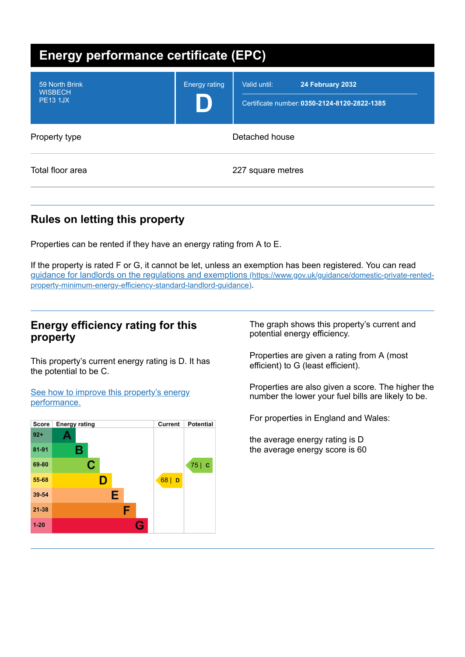| <b>Energy performance certificate (EPC)</b>         |                      |                                                                                  |  |
|-----------------------------------------------------|----------------------|----------------------------------------------------------------------------------|--|
| 59 North Brink<br><b>WISBECH</b><br><b>PE13 1JX</b> | <b>Energy rating</b> | Valid until:<br>24 February 2032<br>Certificate number: 0350-2124-8120-2822-1385 |  |
| Property type                                       | Detached house       |                                                                                  |  |
| Total floor area                                    | 227 square metres    |                                                                                  |  |

# **Rules on letting this property**

Properties can be rented if they have an energy rating from A to E.

If the property is rated F or G, it cannot be let, unless an exemption has been registered. You can read guidance for landlords on the regulations and exemptions (https://www.gov.uk/guidance/domestic-private-rented[property-minimum-energy-efficiency-standard-landlord-guidance\)](https://www.gov.uk/guidance/domestic-private-rented-property-minimum-energy-efficiency-standard-landlord-guidance).

### **Energy efficiency rating for this property**

This property's current energy rating is D. It has the potential to be C.

See how to improve this property's energy [performance.](#page-2-0)



The graph shows this property's current and potential energy efficiency.

Properties are given a rating from A (most efficient) to G (least efficient).

Properties are also given a score. The higher the number the lower your fuel bills are likely to be.

For properties in England and Wales:

the average energy rating is D the average energy score is 60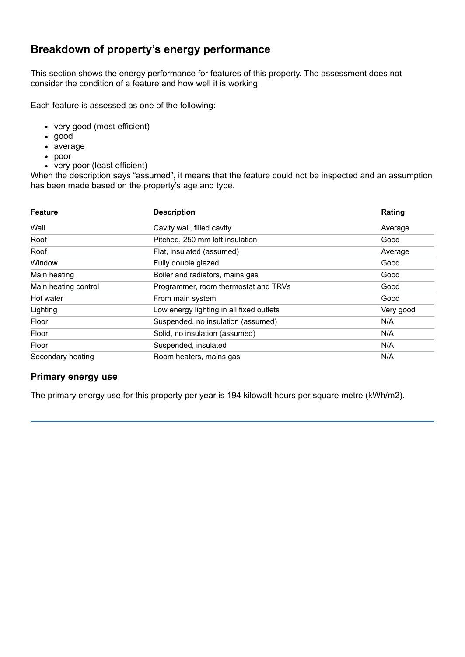# **Breakdown of property's energy performance**

This section shows the energy performance for features of this property. The assessment does not consider the condition of a feature and how well it is working.

Each feature is assessed as one of the following:

- very good (most efficient)
- good
- average
- poor
- very poor (least efficient)

When the description says "assumed", it means that the feature could not be inspected and an assumption has been made based on the property's age and type.

| <b>Feature</b>       | <b>Description</b>                       | Rating    |
|----------------------|------------------------------------------|-----------|
| Wall                 | Cavity wall, filled cavity               | Average   |
| Roof                 | Pitched, 250 mm loft insulation          | Good      |
| Roof                 | Flat, insulated (assumed)                | Average   |
| Window               | Fully double glazed                      | Good      |
| Main heating         | Boiler and radiators, mains gas          | Good      |
| Main heating control | Programmer, room thermostat and TRVs     | Good      |
| Hot water            | From main system                         | Good      |
| Lighting             | Low energy lighting in all fixed outlets | Very good |
| Floor                | Suspended, no insulation (assumed)       | N/A       |
| Floor                | Solid, no insulation (assumed)           | N/A       |
| Floor                | Suspended, insulated                     | N/A       |
| Secondary heating    | Room heaters, mains gas                  | N/A       |

#### **Primary energy use**

The primary energy use for this property per year is 194 kilowatt hours per square metre (kWh/m2).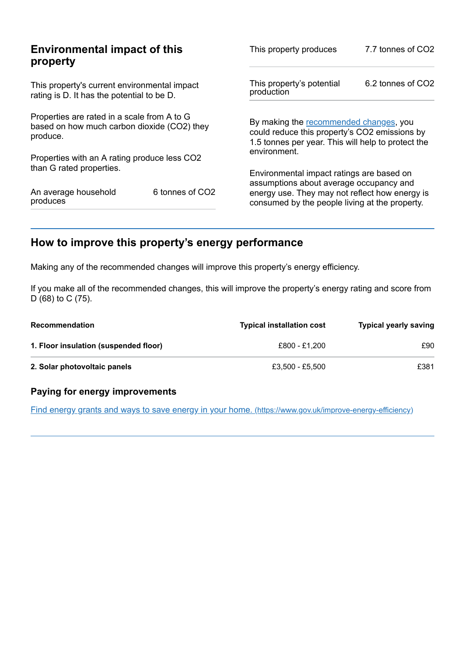|                                                                                                        | This property produces                                                                           | 7.7 tonnes of CO2                                                                                                                             |  |
|--------------------------------------------------------------------------------------------------------|--------------------------------------------------------------------------------------------------|-----------------------------------------------------------------------------------------------------------------------------------------------|--|
| This property's current environmental impact<br>rating is D. It has the potential to be D.             |                                                                                                  | 6.2 tonnes of CO2                                                                                                                             |  |
| Properties are rated in a scale from A to G<br>based on how much carbon dioxide (CO2) they<br>produce. |                                                                                                  | By making the recommended changes, you<br>could reduce this property's CO2 emissions by<br>1.5 tonnes per year. This will help to protect the |  |
|                                                                                                        |                                                                                                  |                                                                                                                                               |  |
|                                                                                                        | Environmental impact ratings are based on                                                        |                                                                                                                                               |  |
| 6 tonnes of CO2                                                                                        | energy use. They may not reflect how energy is<br>consumed by the people living at the property. |                                                                                                                                               |  |
|                                                                                                        | <b>Environmental impact of this</b><br>Properties with an A rating produce less CO2              | This property's potential<br>production<br>environment.<br>assumptions about average occupancy and                                            |  |

# <span id="page-2-0"></span>**How to improve this property's energy performance**

Making any of the recommended changes will improve this property's energy efficiency.

If you make all of the recommended changes, this will improve the property's energy rating and score from D (68) to C (75).

| <b>Recommendation</b>                 | <b>Typical installation cost</b> | <b>Typical yearly saving</b> |
|---------------------------------------|----------------------------------|------------------------------|
| 1. Floor insulation (suspended floor) | £800 - £1.200                    | £90                          |
| 2. Solar photovoltaic panels          | £3.500 - £5.500                  | £381                         |

#### **Paying for energy improvements**

Find energy grants and ways to save energy in your home. [\(https://www.gov.uk/improve-energy-efficiency\)](https://www.gov.uk/improve-energy-efficiency)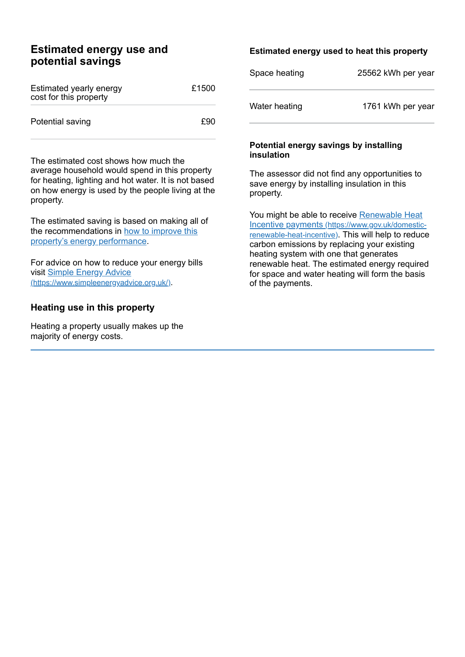#### **Estimated energy use and potential savings**

| Estimated yearly energy<br>cost for this property | £1500 |
|---------------------------------------------------|-------|
| Potential saving                                  | £90   |

The estimated cost shows how much the average household would spend in this property for heating, lighting and hot water. It is not based on how energy is used by the people living at the property.

The estimated saving is based on making all of the [recommendations](#page-2-0) in how to improve this property's energy performance.

For advice on how to reduce your energy bills visit Simple Energy Advice [\(https://www.simpleenergyadvice.org.uk/\)](https://www.simpleenergyadvice.org.uk/).

#### **Heating use in this property**

Heating a property usually makes up the majority of energy costs.

#### **Estimated energy used to heat this property**

| Space heating | 25562 kWh per year |
|---------------|--------------------|
| Water heating | 1761 kWh per year  |

#### **Potential energy savings by installing insulation**

The assessor did not find any opportunities to save energy by installing insulation in this property.

You might be able to receive Renewable Heat Incentive payments [\(https://www.gov.uk/domestic](https://www.gov.uk/domestic-renewable-heat-incentive)renewable-heat-incentive). This will help to reduce carbon emissions by replacing your existing heating system with one that generates renewable heat. The estimated energy required for space and water heating will form the basis of the payments.